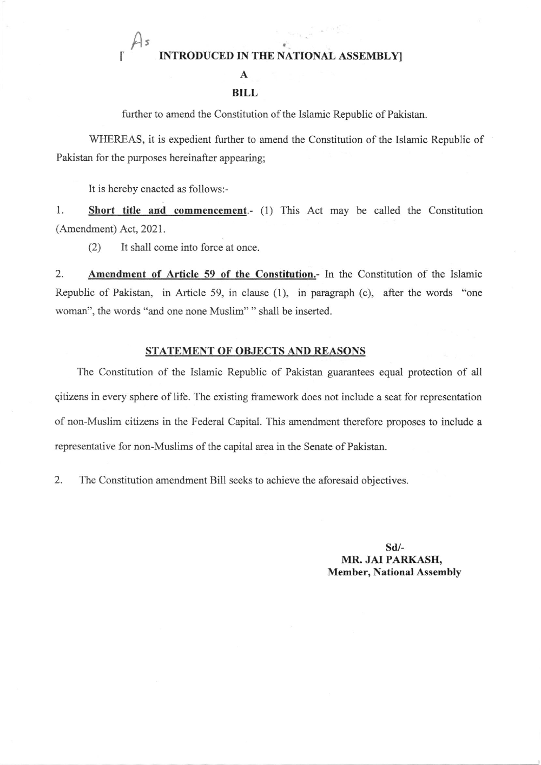## INTRODUCED IN THE NATIONAL ASSEMBLY]

A

## BILL

firther to amend the Constitution of the Islamic Republic of Pakistan.

WHEREAS, it is expedient further to amend the Constitution of the Islamic Republic of Pakistan for the purposes hereinafter appearing;

It is hereby enacted as follows:-

,

A

1. Short title and commencement.- (1) This Act may be called the Constitution (Amendment) Act, 2021.

(2) It shall come into force at once.

2. Amendment of Article 59 of the Constitution.- In the Constitution of the Islamic Republic of Pakistan, in Article 59, in clause (1), in paragraph (c), after the words "one woman", the words "and one none Muslim" " shall be inserted.

## STATEMENT OF OBJECTS AND REASONS

The Constitution of the Islamic Republic of Pakistan guarantees equal protection of all qitizens in every sphere of life. The existing fiamework does not include a seat for representation of non-Muslim citizens in the Federal Capital. This amendment therefore proposes to include a reprcsentative fot non-Muslims of the capital area in the Senate of Pakistan.

2. The Constitution amendment Bill seeks to achieve the aforesaid objectives.

sd/- MR. JAI PARKASH, Member, National Assembly